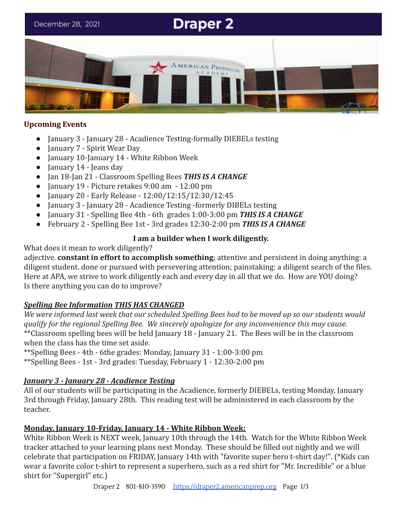# **Draper 2**

December 28, 2021



#### **Upcoming Events**

- January 3 January 28 Acadience Testing-formally DIEBELs testing
- January 7 Spirit Wear Day
- January 10-January 14 White Ribbon Week
- January 14 Jeans day
- Jan 18-Jan 21 Classroom Spelling Bees *THIS IS A CHANGE*
- January 19 Picture retakes 9:00 am 12:00 pm
- January 20 Early Release 12:00/12:15/12:30/12:45
- January 3 January 28 Acadience Testing -formerly DIBELs testing
- January 31 Spelling Bee 4th 6th grades 1:00-3:00 pm *THIS IS A CHANGE*
- February 2 Spelling Bee 1st 3rd grades 12:30-2:00 pm *THIS IS A CHANGE*

#### **I am a builder when I work diligently.**

What does it mean to work diligently?

adjective. **constant in effort to accomplish something**; attentive and persistent in doing anything: a diligent student. done or pursued with persevering attention; painstaking: a diligent search of the files. Here at APA, we strive to work diligently each and every day in all that we do. How are YOU doing? Is there anything you can do to improve?

## *Spelling Bee Information THIS HAS CHANGED*

*We were informed last week that our scheduled Spelling Bees had to be moved up so our students would qualify for the regional Spelling Bee. We sincerely apologize for any inconvenience this may cause.* \*\*Classroom spelling bees will be held January 18 - January 21. The Bees will be in the classroom when the class has the time set aside.

\*\*Spelling Bees - 4th - 6the grades: Monday, January 31 - 1:00-3:00 pm

\*\*Spelling Bees - 1st - 3rd grades: Tuesday, February 1 - 12:30-2:00 pm

## *January 3 - January 28 - Acadience Testing*

All of our students will be participating in the Acadience, formerly DIEBELs, testing Monday, January 3rd through Friday, January 28th. This reading test will be administered in each classroom by the teacher.

## **Monday, January 10-Friday, January 14 - White Ribbon Week:**

White Ribbon Week is NEXT week, January 10th through the 14th. Watch for the White Ribbon Week tracker attached to your learning plans next Monday. These should be filled out nightly and we will celebrate that participation on FRIDAY, January 14th with "favorite super hero t-shirt day!". (\*Kids can wear a favorite color t-shirt to represent a superhero, such as a red shirt for "Mr. Incredible" or a blue shirt for "Supergirl" etc.)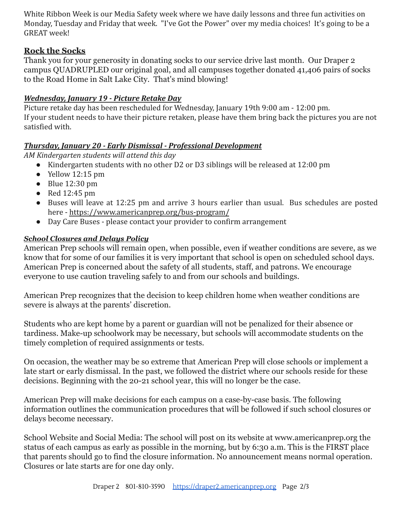White Ribbon Week is our Media Safety week where we have daily lessons and three fun activities on Monday, Tuesday and Friday that week. "I've Got the Power" over my media choices! It's going to be a GREAT week!

# **Rock the Socks**

Thank you for your generosity in donating socks to our service drive last month. Our Draper 2 campus QUADRUPLED our original goal, and all campuses together donated 41,406 pairs of socks to the Road Home in Salt Lake City. That's mind blowing!

## *Wednesday, January 19 - Picture Retake Day*

Picture retake day has been rescheduled for Wednesday, January 19th 9:00 am - 12:00 pm. If your student needs to have their picture retaken, please have them bring back the pictures you are not satisfied with.

# *Thursday, January 20 - Early Dismissal - Professional Development*

*AM Kindergarten students will attend this day*

- Kindergarten students with no other D2 or D3 siblings will be released at 12:00 pm
- $\bullet$  Yellow 12:15 pm
- Blue 12:30 pm
- Red 12:45 pm
- Buses will leave at 12:25 pm and arrive 3 hours earlier than usual. Bus schedules are posted here - <https://www.americanprep.org/bus-program/>
- Day Care Buses please contact your provider to confirm arrangement

# *School Closures and Delays Policy*

American Prep schools will remain open, when possible, even if weather conditions are severe, as we know that for some of our families it is very important that school is open on scheduled school days. American Prep is concerned about the safety of all students, staff, and patrons. We encourage everyone to use caution traveling safely to and from our schools and buildings.

American Prep recognizes that the decision to keep children home when weather conditions are severe is always at the parents' discretion.

Students who are kept home by a parent or guardian will not be penalized for their absence or tardiness. Make-up schoolwork may be necessary, but schools will accommodate students on the timely completion of required assignments or tests.

On occasion, the weather may be so extreme that American Prep will close schools or implement a late start or early dismissal. In the past, we followed the district where our schools reside for these decisions. Beginning with the 20-21 school year, this will no longer be the case.

American Prep will make decisions for each campus on a case-by-case basis. The following information outlines the communication procedures that will be followed if such school closures or delays become necessary.

School Website and Social Media: The school will post on its website at [www.americanprep.org](http://www.americanprep.org/) the status of each campus as early as possible in the morning, but by 6:30 a.m. This is the FIRST place that parents should go to find the closure information. No announcement means normal operation. Closures or late starts are for one day only.